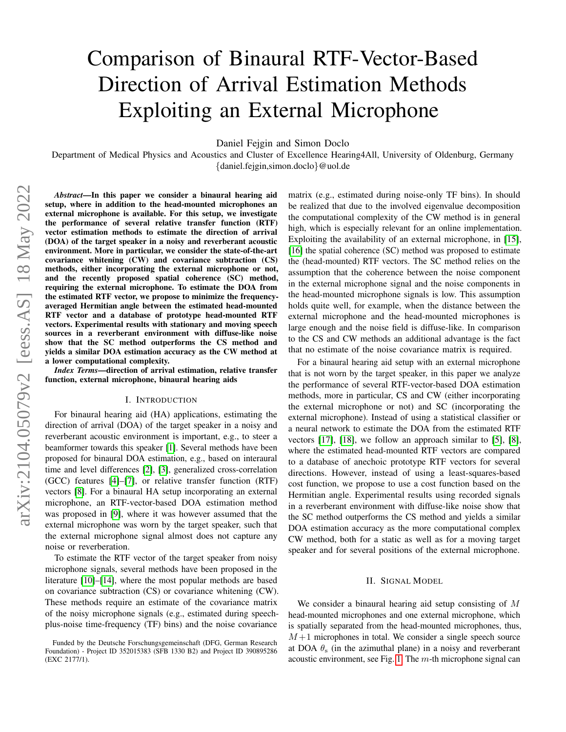# Comparison of Binaural RTF-Vector-Based Direction of Arrival Estimation Methods Exploiting an External Microphone

Daniel Fejgin and Simon Doclo

Department of Medical Physics and Acoustics and Cluster of Excellence Hearing4All, University of Oldenburg, Germany {daniel.fejgin,simon.doclo}@uol.de

*Abstract*—In this paper we consider a binaural hearing aid setup, where in addition to the head-mounted microphones an external microphone is available. For this setup, we investigate the performance of several relative transfer function (RTF) vector estimation methods to estimate the direction of arrival (DOA) of the target speaker in a noisy and reverberant acoustic environment. More in particular, we consider the state-of-the-art covariance whitening (CW) and covariance subtraction (CS) methods, either incorporating the external microphone or not, and the recently proposed spatial coherence (SC) method, requiring the external microphone. To estimate the DOA from the estimated RTF vector, we propose to minimize the frequencyaveraged Hermitian angle between the estimated head-mounted RTF vector and a database of prototype head-mounted RTF vectors. Experimental results with stationary and moving speech sources in a reverberant environment with diffuse-like noise show that the SC method outperforms the CS method and yields a similar DOA estimation accuracy as the CW method at a lower computational complexity.

*Index Terms*—direction of arrival estimation, relative transfer function, external microphone, binaural hearing aids

#### I. INTRODUCTION

For binaural hearing aid (HA) applications, estimating the direction of arrival (DOA) of the target speaker in a noisy and reverberant acoustic environment is important, e.g., to steer a beamformer towards this speaker [\[1\]](#page-4-0). Several methods have been proposed for binaural DOA estimation, e.g., based on interaural time and level differences [\[2\]](#page-4-1), [\[3\]](#page-4-2), generalized cross-correlation (GCC) features [\[4\]](#page-4-3)–[\[7\]](#page-4-4), or relative transfer function (RTF) vectors [\[8\]](#page-4-5). For a binaural HA setup incorporating an external microphone, an RTF-vector-based DOA estimation method was proposed in [\[9\]](#page-4-6), where it was however assumed that the external microphone was worn by the target speaker, such that the external microphone signal almost does not capture any noise or reverberation.

To estimate the RTF vector of the target speaker from noisy microphone signals, several methods have been proposed in the literature [\[10\]](#page-4-7)–[\[14\]](#page-4-8), where the most popular methods are based on covariance subtraction (CS) or covariance whitening (CW). These methods require an estimate of the covariance matrix of the noisy microphone signals (e.g., estimated during speechplus-noise time-frequency (TF) bins) and the noise covariance

matrix (e.g., estimated during noise-only TF bins). In should be realized that due to the involved eigenvalue decomposition the computational complexity of the CW method is in general high, which is especially relevant for an online implementation. Exploiting the availability of an external microphone, in [\[15\]](#page-4-9), [\[16\]](#page-4-10) the spatial coherence (SC) method was proposed to estimate the (head-mounted) RTF vectors. The SC method relies on the assumption that the coherence between the noise component in the external microphone signal and the noise components in the head-mounted microphone signals is low. This assumption holds quite well, for example, when the distance between the external microphone and the head-mounted microphones is large enough and the noise field is diffuse-like. In comparison to the CS and CW methods an additional advantage is the fact that no estimate of the noise covariance matrix is required.

For a binaural hearing aid setup with an external microphone that is not worn by the target speaker, in this paper we analyze the performance of several RTF-vector-based DOA estimation methods, more in particular, CS and CW (either incorporating the external microphone or not) and SC (incorporating the external microphone). Instead of using a statistical classifier or a neural network to estimate the DOA from the estimated RTF vectors [\[17\]](#page-4-11), [\[18\]](#page-4-12), we follow an approach similar to [\[5\]](#page-4-13), [\[8\]](#page-4-5), where the estimated head-mounted RTF vectors are compared to a database of anechoic prototype RTF vectors for several directions. However, instead of using a least-squares-based cost function, we propose to use a cost function based on the Hermitian angle. Experimental results using recorded signals in a reverberant environment with diffuse-like noise show that the SC method outperforms the CS method and yields a similar DOA estimation accuracy as the more computational complex CW method, both for a static as well as for a moving target speaker and for several positions of the external microphone.

# II. SIGNAL MODEL

We consider a binaural hearing aid setup consisting of M head-mounted microphones and one external microphone, which is spatially separated from the head-mounted microphones, thus,  $M+1$  microphones in total. We consider a single speech source at DOA  $\theta_s$  (in the azimuthal plane) in a noisy and reverberant acoustic environment, see Fig. [1.](#page-3-0) The  $m$ -th microphone signal can

Funded by the Deutsche Forschungsgemeinschaft (DFG, German Research Foundation) - Project ID 352015383 (SFB 1330 B2) and Project ID 390895286 (EXC 2177/1).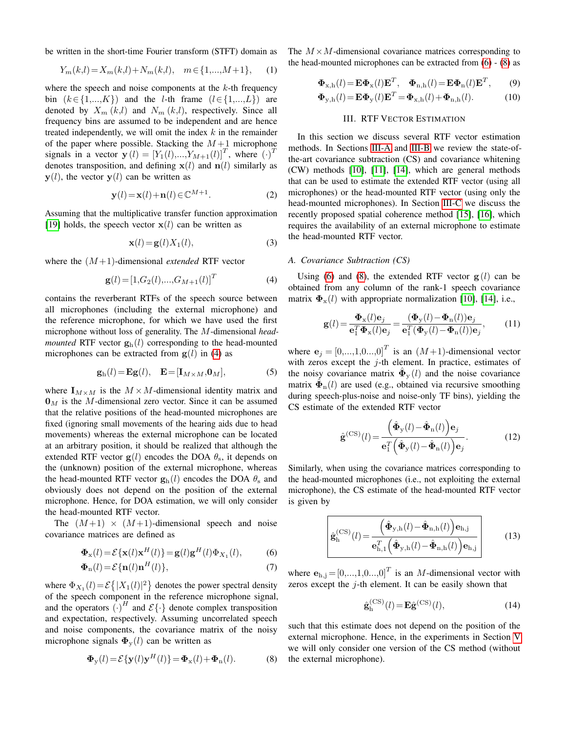be written in the short-time Fourier transform (STFT) domain as

$$
Y_m(k,l) = X_m(k,l) + N_m(k,l), \quad m \in \{1, \dots, M+1\},\tag{1}
$$

where the speech and noise components at the  $k$ -th frequency bin  $(k \in \{1,...,K\})$  and the *l*-th frame  $(l \in \{1,...,L\})$  are denoted by  $X_m (k,l)$  and  $N_m (k,l)$ , respectively. Since all frequency bins are assumed to be independent and are hence treated independently, we will omit the index  $k$  in the remainder of the paper where possible. Stacking the  $M+1$  microphone signals in a vector  $\mathbf{y}(l) = \left[Y_1(l),...,Y_{M+1}(l)\right]^T$ , where  $\left(\cdot\right)^T$ denotes transposition, and defining  $x(l)$  and  $n(l)$  similarly as  $y(l)$ , the vector  $y(l)$  can be written as

$$
\mathbf{y}(l) = \mathbf{x}(l) + \mathbf{n}(l) \in \mathbb{C}^{M+1}.
$$
 (2)

Assuming that the multiplicative transfer function approximation [\[19\]](#page-4-14) holds, the speech vector  $x(l)$  can be written as

$$
\mathbf{x}(l) = \mathbf{g}(l)X_1(l),\tag{3}
$$

where the (M +1)-dimensional *extended* RTF vector

<span id="page-1-0"></span>
$$
\mathbf{g}(l) = [1, G_2(l), ..., G_{M+1}(l)]^T
$$
 (4)

contains the reverberant RTFs of the speech source between all microphones (including the external microphone) and the reference microphone, for which we have used the first microphone without loss of generality. The M-dimensional *headmounted* RTF vector  $\mathbf{g}_{h}(l)$  corresponding to the head-mounted microphones can be extracted from  $g(l)$  in [\(4\)](#page-1-0) as

$$
\mathbf{g}_{h}(l) = \mathbf{E}\mathbf{g}(l), \quad \mathbf{E} = [\mathbf{I}_{M \times M}, \mathbf{0}_{M}], \tag{5}
$$

where  $\mathbf{I}_{M \times M}$  is the  $M \times M$ -dimensional identity matrix and  $\mathbf{0}_M$  is the M-dimensional zero vector. Since it can be assumed that the relative positions of the head-mounted microphones are fixed (ignoring small movements of the hearing aids due to head movements) whereas the external microphone can be located at an arbitrary position, it should be realized that although the extended RTF vector  $g(l)$  encodes the DOA  $\theta_s$ , it depends on the (unknown) position of the external microphone, whereas the head-mounted RTF vector  $\mathbf{g}_{h}(l)$  encodes the DOA  $\theta_{s}$  and obviously does not depend on the position of the external microphone. Hence, for DOA estimation, we will only consider the head-mounted RTF vector.

The  $(M+1) \times (M+1)$ -dimensional speech and noise covariance matrices are defined as

$$
\mathbf{\Phi}_{\mathbf{x}}(l) = \mathcal{E}\{\mathbf{x}(l)\mathbf{x}^{H}(l)\} = \mathbf{g}(l)\mathbf{g}^{H}(l)\Phi_{X_{1}}(l),
$$
\n(6)

$$
\mathbf{\Phi}_{\mathbf{n}}(l) = \mathcal{E}\{\mathbf{n}(l)\mathbf{n}^{H}(l)\},\tag{7}
$$

where  $\Phi_{X_1}(l) = \mathcal{E}\left\{ |X_1(l)|^2 \right\}$  denotes the power spectral density of the speech component in the reference microphone signal, and the operators  $\left(\cdot\right)^{H}$  and  $\mathcal{E}\left\{\cdot\right\}$  denote complex transposition and expectation, respectively. Assuming uncorrelated speech and noise components, the covariance matrix of the noisy microphone signals  $\Phi_{\rm v}(l)$  can be written as

<span id="page-1-2"></span>
$$
\mathbf{\Phi}_{\mathbf{y}}(l) = \mathcal{E}\{\mathbf{y}(l)\mathbf{y}^{H}(l)\} = \mathbf{\Phi}_{\mathbf{x}}(l) + \mathbf{\Phi}_{\mathbf{n}}(l). \tag{8}
$$

The  $M \times M$ -dimensional covariance matrices corresponding to the head-mounted microphones can be extracted from  $(6) - (8)$  $(6) - (8)$  $(6) - (8)$  as

$$
\mathbf{\Phi}_{\mathbf{x},h}(l) = \mathbf{E}\mathbf{\Phi}_{\mathbf{x}}(l)\mathbf{E}^T, \quad \mathbf{\Phi}_{\mathbf{n},h}(l) = \mathbf{E}\mathbf{\Phi}_{\mathbf{n}}(l)\mathbf{E}^T, \tag{9}
$$

$$
\mathbf{\Phi}_{\mathbf{y},\mathbf{h}}(l) = \mathbf{E}\mathbf{\Phi}_{\mathbf{y}}(l)\mathbf{E}^T = \mathbf{\Phi}_{\mathbf{x},\mathbf{h}}(l) + \mathbf{\Phi}_{\mathbf{n},\mathbf{h}}(l). \tag{10}
$$

# III. RTF VECTOR ESTIMATION

In this section we discuss several RTF vector estimation methods. In Sections [III-A](#page-1-3) and [III-B](#page-2-0) we review the state-ofthe-art covariance subtraction (CS) and covariance whitening (CW) methods [\[10\]](#page-4-7), [\[11\]](#page-4-15), [\[14\]](#page-4-8), which are general methods that can be used to estimate the extended RTF vector (using all microphones) or the head-mounted RTF vector (using only the head-mounted microphones). In Section [III-C](#page-2-1) we discuss the recently proposed spatial coherence method [\[15\]](#page-4-9), [\[16\]](#page-4-10), which requires the availability of an external microphone to estimate the head-mounted RTF vector.

#### <span id="page-1-3"></span>*A. Covariance Subtraction (CS)*

Using [\(6\)](#page-1-1) and [\(8\)](#page-1-2), the extended RTF vector  $g(l)$  can be obtained from any column of the rank-1 speech covariance matrix  $\Phi_{\rm x}(l)$  with appropriate normalization [\[10\]](#page-4-7), [\[14\]](#page-4-8), i.e.,

$$
\mathbf{g}(l) = \frac{\mathbf{\Phi}_{\mathbf{x}}(l)\mathbf{e}_{j}}{\mathbf{e}_{1}^{T}\mathbf{\Phi}_{\mathbf{x}}(l)\mathbf{e}_{j}} = \frac{(\mathbf{\Phi}_{\mathbf{y}}(l) - \mathbf{\Phi}_{\mathbf{n}}(l))\mathbf{e}_{j}}{\mathbf{e}_{1}^{T}(\mathbf{\Phi}_{\mathbf{y}}(l) - \mathbf{\Phi}_{\mathbf{n}}(l))\mathbf{e}_{j}},
$$
(11)

where  $\mathbf{e}_j = [0, ..., 1, 0, ..., 0]^T$  is an  $(M+1)$ -dimensional vector with zeros except the  $j$ -th element. In practice, estimates of the noisy covariance matrix  $\hat{\Phi}_{y}(l)$  and the noise covariance matrix  $\hat{\Phi}_{n}(l)$  are used (e.g., obtained via recursive smoothing during speech-plus-noise and noise-only TF bins), yielding the CS estimate of the extended RTF vector

$$
\hat{\mathbf{g}}^{(\text{CS})}(l) = \frac{\left(\hat{\mathbf{\Phi}}_{\text{y}}(l) - \hat{\mathbf{\Phi}}_{\text{n}}(l)\right)\mathbf{e}_{j}}{\mathbf{e}_{1}^{T}\left(\hat{\mathbf{\Phi}}_{\text{y}}(l) - \hat{\mathbf{\Phi}}_{\text{n}}(l)\right)\mathbf{e}_{j}}.
$$
(12)

Similarly, when using the covariance matrices corresponding to the head-mounted microphones (i.e., not exploiting the external microphone), the CS estimate of the head-mounted RTF vector is given by

<span id="page-1-4"></span>
$$
\hat{\mathbf{g}}_{\mathrm{h}}^{(\mathrm{CS})}(l) = \frac{\left(\hat{\mathbf{\Phi}}_{\mathrm{y,h}}(l) - \hat{\mathbf{\Phi}}_{\mathrm{n,h}}(l)\right)\mathbf{e}_{\mathrm{h,j}}}{\mathbf{e}_{\mathrm{h},1}^{T}\left(\hat{\mathbf{\Phi}}_{\mathrm{y,h}}(l) - \hat{\mathbf{\Phi}}_{\mathrm{n,h}}(l)\right)\mathbf{e}_{\mathrm{h,j}}}
$$
(13)

<span id="page-1-1"></span>where  $\mathbf{e}_{h,j} = [0, ..., 1, 0, ..., 0]^T$  is an *M*-dimensional vector with zeros except the  $j$ -th element. It can be easily shown that

$$
\hat{\mathbf{g}}_h^{(CS)}(l) = \mathbf{E}\hat{\mathbf{g}}^{(CS)}(l),\tag{14}
$$

such that this estimate does not depend on the position of the external microphone. Hence, in the experiments in Section [V](#page-2-2) we will only consider one version of the CS method (without the external microphone).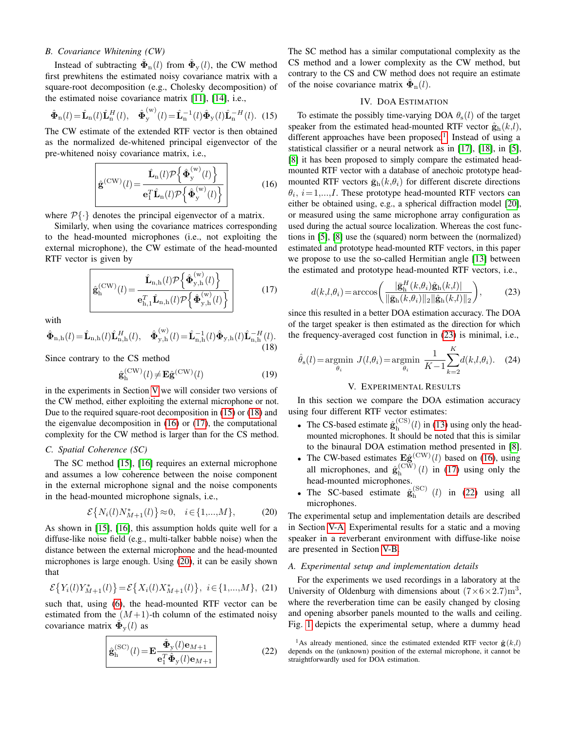# <span id="page-2-0"></span>*B. Covariance Whitening (CW)*

Instead of subtracting  $\hat{\Phi}_{\text{n}}(l)$  from  $\hat{\Phi}_{\text{y}}(l)$ , the CW method first prewhitens the estimated noisy covariance matrix with a square-root decomposition (e.g., Cholesky decomposition) of the estimated noise covariance matrix [\[11\]](#page-4-15), [\[14\]](#page-4-8), i.e.,

<span id="page-2-3"></span>
$$
\hat{\boldsymbol{\Phi}}_{\rm n}(l) = \hat{\mathbf{L}}_{\rm n}(l)\hat{\mathbf{L}}_{\rm n}^{H}(l), \quad \hat{\boldsymbol{\Phi}}_{\rm y}^{(\rm w)}(l) = \hat{\mathbf{L}}_{\rm n}^{-1}(l)\hat{\boldsymbol{\Phi}}_{\rm y}(l)\hat{\mathbf{L}}_{\rm n}^{-H}(l). \tag{15}
$$

The CW estimate of the extended RTF vector is then obtained as the normalized de-whitened principal eigenvector of the pre-whitened noisy covariance matrix, i.e.,

<span id="page-2-5"></span>
$$
\hat{\mathbf{g}}^{(\text{CW})}(l) = \frac{\hat{\mathbf{L}}_{\text{n}}(l)\mathcal{P}\left\{\hat{\boldsymbol{\Phi}}_{\text{y}}^{(\text{w})}(l)\right\}}{\mathbf{e}_{1}^{T}\hat{\mathbf{L}}_{\text{n}}(l)\mathcal{P}\left\{\hat{\boldsymbol{\Phi}}_{\text{y}}^{(\text{w})}(l)\right\}}\tag{16}
$$

where  $\mathcal{P}\{\cdot\}$  denotes the principal eigenvector of a matrix.

Similarly, when using the covariance matrices corresponding to the head-mounted microphones (i.e., not exploiting the external microphone), the CW estimate of the head-mounted RTF vector is given by

<span id="page-2-6"></span>
$$
\hat{\mathbf{g}}_{\mathrm{h}}^{(\mathrm{CW})}(l) = \frac{\hat{\mathbf{L}}_{\mathrm{n,h}}(l)\mathcal{P}\left\{\hat{\boldsymbol{\Phi}}_{\mathrm{y,h}}^{(\mathrm{w})}(l)\right\}}{\mathbf{e}_{\mathrm{h},1}^T\hat{\mathbf{L}}_{\mathrm{n,h}}(l)\mathcal{P}\left\{\hat{\boldsymbol{\Phi}}_{\mathrm{y,h}}^{(\mathrm{w})}(l)\right\}}\tag{17}
$$

with

<span id="page-2-4"></span>
$$
\hat{\mathbf{\Phi}}_{n,h}(l) = \hat{\mathbf{L}}_{n,h}(l)\hat{\mathbf{L}}_{n,h}^{H}(l), \quad \hat{\mathbf{\Phi}}_{y,h}^{(w)}(l) = \hat{\mathbf{L}}_{n,h}^{-1}(l)\hat{\mathbf{\Phi}}_{y,h}(l)\hat{\mathbf{L}}_{n,h}^{-H}(l).
$$
\n(18)

Since contrary to the CS method

$$
\hat{\mathbf{g}}_{\mathrm{h}}^{(\mathrm{CW})}(l) \neq \mathbf{E}\hat{\mathbf{g}}^{(\mathrm{CW})}(l) \tag{19}
$$

in the experiments in Section [V](#page-2-2) we will consider two versions of the CW method, either exploiting the external microphone or not. Due to the required square-root decomposition in [\(15\)](#page-2-3) or [\(18\)](#page-2-4) and the eigenvalue decomposition in [\(16\)](#page-2-5) or [\(17\)](#page-2-6), the computational complexity for the CW method is larger than for the CS method.

#### <span id="page-2-1"></span>*C. Spatial Coherence (SC)*

The SC method [\[15\]](#page-4-9), [\[16\]](#page-4-10) requires an external microphone and assumes a low coherence between the noise component in the external microphone signal and the noise components in the head-mounted microphone signals, i.e.,

<span id="page-2-7"></span>
$$
\mathcal{E}\{N_i(l)N^*_{M+1}(l)\} \approx 0, \quad i \in \{1,...,M\},
$$
 (20)

As shown in [\[15\]](#page-4-9), [\[16\]](#page-4-10), this assumption holds quite well for a diffuse-like noise field (e.g., multi-talker babble noise) when the distance between the external microphone and the head-mounted microphones is large enough. Using [\(20\)](#page-2-7), it can be easily shown that

$$
\mathcal{E}\big\{Y_i(l)Y^*_{M+1}(l)\big\} = \mathcal{E}\big\{X_i(l)X^*_{M+1}(l)\big\}, \ i \in \{1,...,M\}, \ (21)
$$

such that, using [\(6\)](#page-1-1), the head-mounted RTF vector can be estimated from the  $(M+1)$ -th column of the estimated noisy covariance matrix  $\hat{\mathbf{\Phi}}_{\mathbf{y}}(l)$  as

<span id="page-2-10"></span>
$$
\hat{\mathbf{g}}_{\mathrm{h}}^{(\mathrm{SC})}(l) = \mathbf{E} \frac{\hat{\mathbf{\Phi}}_{\mathrm{y}}(l)\mathbf{e}_{M+1}}{\mathbf{e}_{1}^{T}\hat{\mathbf{\Phi}}_{\mathrm{y}}(l)\mathbf{e}_{M+1}}
$$
(22)

The SC method has a similar computational complexity as the CS method and a lower complexity as the CW method, but contrary to the CS and CW method does not require an estimate of the noise covariance matrix  $\hat{\Phi}_{n}(l)$ .

#### IV. DOA ESTIMATION

To estimate the possibly time-varying DOA  $\theta_s(l)$  of the target speaker from the estimated head-mounted RTF vector  $\hat{\mathbf{g}}_h(k,l)$ , different approaches have been proposed<sup>[1](#page-2-8)</sup>. Instead of using a statistical classifier or a neural network as in [\[17\]](#page-4-11), [\[18\]](#page-4-12), in [\[5\]](#page-4-13), [\[8\]](#page-4-5) it has been proposed to simply compare the estimated headmounted RTF vector with a database of anechoic prototype headmounted RTF vectors  $\bar{\mathbf{g}}_h(k, \theta_i)$  for different discrete directions  $\theta_i$ ,  $i = 1,...,I$ . These prototype head-mounted RTF vectors can either be obtained using, e.g., a spherical diffraction model [\[20\]](#page-4-16), or measured using the same microphone array configuration as used during the actual source localization. Whereas the cost functions in [\[5\]](#page-4-13), [\[8\]](#page-4-5) use the (squared) norm between the (normalized) estimated and prototype head-mounted RTF vectors, in this paper we propose to use the so-called Hermitian angle [\[13\]](#page-4-17) between the estimated and prototype head-mounted RTF vectors, i.e.,

<span id="page-2-9"></span>
$$
d(k,l,\theta_i) = \arccos\bigg(\frac{|\bar{\mathbf{g}}_h^H(k,\theta_i)\hat{\mathbf{g}}_h(k,l)|}{\|\bar{\mathbf{g}}_h(k,\theta_i)\|_2\|\hat{\mathbf{g}}_h(k,l)\|_2}\bigg),\tag{23}
$$

since this resulted in a better DOA estimation accuracy. The DOA of the target speaker is then estimated as the direction for which the frequency-averaged cost function in [\(23\)](#page-2-9) is minimal, i.e.,

<span id="page-2-12"></span>
$$
\hat{\theta}_{s}(l) = \underset{\theta_{i}}{\text{argmin}} \ J(l, \theta_{i}) = \underset{\theta_{i}}{\text{argmin}} \ \frac{1}{K-1} \sum_{k=2}^{K} d(k, l, \theta_{i}). \tag{24}
$$

# V. EXPERIMENTAL RESULTS

<span id="page-2-2"></span>In this section we compare the DOA estimation accuracy using four different RTF vector estimates:

- The CS-based estimate  $\hat{\mathbf{g}}_h^{\text{(CS)}}$  $\int_{h}^{(0.5)}(l)$  in [\(13\)](#page-1-4) using only the headmounted microphones. It should be noted that this is similar to the binaural DOA estimation method presented in [\[8\]](#page-4-5).
- The CW-based estimates  $\mathbf{E} \hat{\mathbf{g}}^{(\text{CW})}(l)$  based on [\(16\)](#page-2-5), using all microphones, and  $\hat{\mathbf{g}}_{h}^{(\text{CW})}$  $\int_{h}^{(CW)}(l)$  in [\(17\)](#page-2-6) using only the head-mounted microphones.
- The SC-based estimate  $\hat{\mathbf{g}}_h^{(\text{SC})}$  $\int_{h}^{(SC)}$  (*l*) in [\(22\)](#page-2-10) using all microphones.

The experimental setup and implementation details are described in Section [V-A.](#page-2-11) Experimental results for a static and a moving speaker in a reverberant environment with diffuse-like noise are presented in Section [V-B.](#page-3-1)

### <span id="page-2-11"></span>*A. Experimental setup and implementation details*

For the experiments we used recordings in a laboratory at the University of Oldenburg with dimensions about  $(7 \times 6 \times 2.7)$ m<sup>3</sup>, where the reverberation time can be easily changed by closing and opening absorber panels mounted to the walls and ceiling. Fig. [1](#page-3-0) depicts the experimental setup, where a dummy head

<span id="page-2-8"></span><sup>&</sup>lt;sup>1</sup>As already mentioned, since the estimated extended RTF vector  $\hat{\mathbf{g}}(k,l)$ depends on the (unknown) position of the external microphone, it cannot be straightforwardly used for DOA estimation.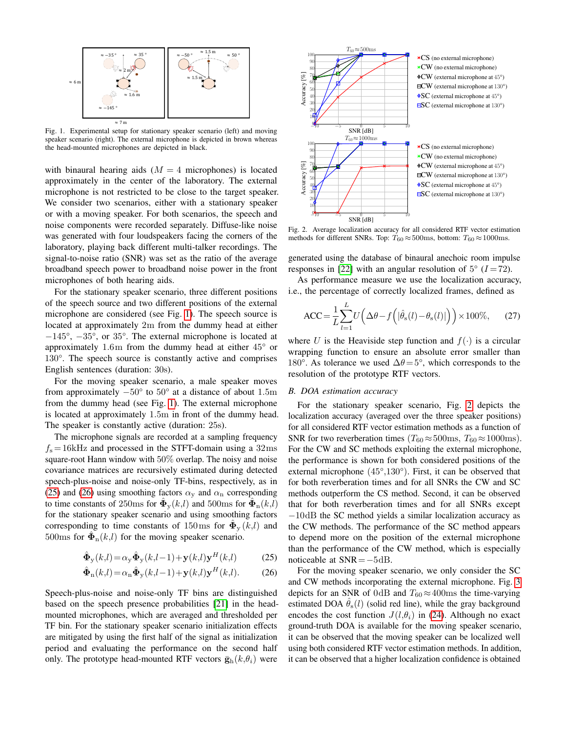

<span id="page-3-0"></span>Fig. 1. Experimental setup for stationary speaker scenario (left) and moving speaker scenario (right). The external microphone is depicted in brown whereas the head-mounted microphones are depicted in black.

with binaural hearing aids  $(M = 4$  microphones) is located approximately in the center of the laboratory. The external microphone is not restricted to be close to the target speaker. We consider two scenarios, either with a stationary speaker or with a moving speaker. For both scenarios, the speech and noise components were recorded separately. Diffuse-like noise was generated with four loudspeakers facing the corners of the laboratory, playing back different multi-talker recordings. The signal-to-noise ratio (SNR) was set as the ratio of the average broadband speech power to broadband noise power in the front microphones of both hearing aids.

For the stationary speaker scenario, three different positions of the speech source and two different positions of the external microphone are considered (see Fig. [1\)](#page-3-0). The speech source is located at approximately 2m from the dummy head at either −145°, −35°, or 35°. The external microphone is located at approximately 1.6m from the dummy head at either 45° or 130°. The speech source is constantly active and comprises English sentences (duration: 30s).

For the moving speaker scenario, a male speaker moves from approximately  $-50^{\circ}$  to  $50^{\circ}$  at a distance of about 1.5m from the dummy head (see Fig. [1\)](#page-3-0). The external microphone is located at approximately 1.5m in front of the dummy head. The speaker is constantly active (duration: 25s).

The microphone signals are recorded at a sampling frequency  $f_s = 16$ kHz and processed in the STFT-domain using a 32ms square-root Hann window with 50% overlap. The noisy and noise covariance matrices are recursively estimated during detected speech-plus-noise and noise-only TF-bins, respectively, as in [\(25\)](#page-3-2) and [\(26\)](#page-3-3) using smoothing factors  $\alpha_y$  and  $\alpha_n$  corresponding to time constants of 250ms for  $\hat{\mathbf{\Phi}}_{y}(k,l)$  and 500ms for  $\hat{\mathbf{\Phi}}_{n}(k,l)$ for the stationary speaker scenario and using smoothing factors corresponding to time constants of 150ms for  $\hat{\Phi}_y(k,l)$  and 500ms for  $\hat{\Phi}_{n}(k,l)$  for the moving speaker scenario.

$$
\hat{\mathbf{\Phi}}_{\mathbf{y}}(k,l) = \alpha_{\mathbf{y}} \hat{\mathbf{\Phi}}_{\mathbf{y}}(k,l-1) + \mathbf{y}(k,l)\mathbf{y}^{H}(k,l)
$$
 (25)

$$
\hat{\mathbf{\Phi}}_{n}(k,l) = \alpha_{n} \hat{\mathbf{\Phi}}_{y}(k,l-1) + \mathbf{y}(k,l)\mathbf{y}^{H}(k,l). \tag{26}
$$

Speech-plus-noise and noise-only TF bins are distinguished based on the speech presence probabilities [\[21\]](#page-4-18) in the headmounted microphones, which are averaged and thresholded per TF bin. For the stationary speaker scenario initialization effects are mitigated by using the first half of the signal as initialization period and evaluating the performance on the second half only. The prototype head-mounted RTF vectors  $\bar{\mathbf{g}}_{h}(k, \theta_i)$  were



<span id="page-3-4"></span>methods for different SNRs. Top:  $T_{60} \approx 500$ ms, bottom:  $T_{60} \approx 1000$ ms.

generated using the database of binaural anechoic room impulse responses in [\[22\]](#page-4-19) with an angular resolution of  $5^{\circ}$  ( $I = 72$ ).

As performance measure we use the localization accuracy, i.e., the percentage of correctly localized frames, defined as

$$
\text{ACC} = \frac{1}{L} \sum_{l=1}^{L} U\left(\Delta\theta - f\left(|\hat{\theta}_{\text{s}}(l) - \theta_{\text{s}}(l)|\right)\right) \times 100\%,\qquad(27)
$$

where U is the Heaviside step function and  $f(\cdot)$  is a circular wrapping function to ensure an absolute error smaller than 180°. As tolerance we used  $\Delta\theta$  = 5°, which corresponds to the resolution of the prototype RTF vectors.

#### <span id="page-3-1"></span>*B. DOA estimation accuracy*

For the stationary speaker scenario, Fig. [2](#page-3-4) depicts the localization accuracy (averaged over the three speaker positions) for all considered RTF vector estimation methods as a function of SNR for two reverberation times ( $T_{60} \approx 500$ ms,  $T_{60} \approx 1000$ ms). For the CW and SC methods exploiting the external microphone, the performance is shown for both considered positions of the external microphone (45°,130°). First, it can be observed that for both reverberation times and for all SNRs the CW and SC methods outperform the CS method. Second, it can be observed that for both reverberation times and for all SNRs except −10dB the SC method yields a similar localization accuracy as the CW methods. The performance of the SC method appears to depend more on the position of the external microphone than the performance of the CW method, which is especially noticeable at SNR=−5dB.

<span id="page-3-3"></span><span id="page-3-2"></span>For the moving speaker scenario, we only consider the SC and CW methods incorporating the external microphone. Fig. [3](#page-4-20) depicts for an SNR of 0dB and  $T_{60} \approx 400$ ms the time-varying estimated DOA  $\hat{\theta}_{s}(l)$  (solid red line), while the gray background encodes the cost function  $J(l, \theta_i)$  in [\(24\)](#page-2-12). Although no exact ground-truth DOA is available for the moving speaker scenario, it can be observed that the moving speaker can be localized well using both considered RTF vector estimation methods. In addition, it can be observed that a higher localization confidence is obtained